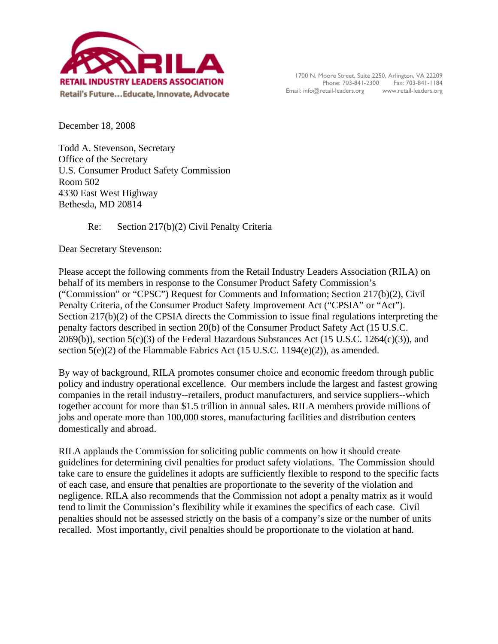

December 18, 2008

Todd A. Stevenson, Secretary Office of the Secretary U.S. Consumer Product Safety Commission Room 502 4330 East West Highway Bethesda, MD 20814

Re: Section 217(b)(2) Civil Penalty Criteria

Dear Secretary Stevenson:

Please accept the following comments from the Retail Industry Leaders Association (RILA) on behalf of its members in response to the Consumer Product Safety Commission's ("Commission" or "CPSC") Request for Comments and Information; Section 217(b)(2), Civil Penalty Criteria, of the Consumer Product Safety Improvement Act ("CPSIA" or "Act"). Section 217(b)(2) of the CPSIA directs the Commission to issue final regulations interpreting the penalty factors described in section 20(b) of the Consumer Product Safety Act (15 U.S.C. 2069(b)), section  $5(c)(3)$  of the Federal Hazardous Substances Act (15 U.S.C. 1264(c)(3)), and section  $5(e)(2)$  of the Flammable Fabrics Act (15 U.S.C. 1194 $(e)(2)$ ), as amended.

By way of background, RILA promotes consumer choice and economic freedom through public policy and industry operational excellence. Our members include the largest and fastest growing companies in the retail industry--retailers, product manufacturers, and service suppliers--which together account for more than \$1.5 trillion in annual sales. RILA members provide millions of jobs and operate more than 100,000 stores, manufacturing facilities and distribution centers domestically and abroad.

RILA applauds the Commission for soliciting public comments on how it should create guidelines for determining civil penalties for product safety violations. The Commission should take care to ensure the guidelines it adopts are sufficiently flexible to respond to the specific facts of each case, and ensure that penalties are proportionate to the severity of the violation and negligence. RILA also recommends that the Commission not adopt a penalty matrix as it would tend to limit the Commission's flexibility while it examines the specifics of each case. Civil penalties should not be assessed strictly on the basis of a company's size or the number of units recalled. Most importantly, civil penalties should be proportionate to the violation at hand.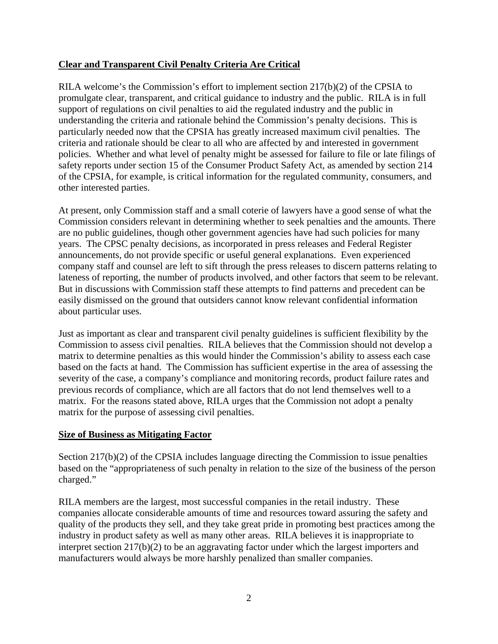# **Clear and Transparent Civil Penalty Criteria Are Critical**

RILA welcome's the Commission's effort to implement section  $217(b)(2)$  of the CPSIA to promulgate clear, transparent, and critical guidance to industry and the public. RILA is in full support of regulations on civil penalties to aid the regulated industry and the public in understanding the criteria and rationale behind the Commission's penalty decisions. This is particularly needed now that the CPSIA has greatly increased maximum civil penalties. The criteria and rationale should be clear to all who are affected by and interested in government policies. Whether and what level of penalty might be assessed for failure to file or late filings of safety reports under section 15 of the Consumer Product Safety Act, as amended by section 214 of the CPSIA, for example, is critical information for the regulated community, consumers, and other interested parties.

At present, only Commission staff and a small coterie of lawyers have a good sense of what the Commission considers relevant in determining whether to seek penalties and the amounts. There are no public guidelines, though other government agencies have had such policies for many years. The CPSC penalty decisions, as incorporated in press releases and Federal Register announcements, do not provide specific or useful general explanations. Even experienced company staff and counsel are left to sift through the press releases to discern patterns relating to lateness of reporting, the number of products involved, and other factors that seem to be relevant. But in discussions with Commission staff these attempts to find patterns and precedent can be easily dismissed on the ground that outsiders cannot know relevant confidential information about particular uses.

Just as important as clear and transparent civil penalty guidelines is sufficient flexibility by the Commission to assess civil penalties. RILA believes that the Commission should not develop a matrix to determine penalties as this would hinder the Commission's ability to assess each case based on the facts at hand. The Commission has sufficient expertise in the area of assessing the severity of the case, a company's compliance and monitoring records, product failure rates and previous records of compliance, which are all factors that do not lend themselves well to a matrix. For the reasons stated above, RILA urges that the Commission not adopt a penalty matrix for the purpose of assessing civil penalties.

## **Size of Business as Mitigating Factor**

Section 217(b)(2) of the CPSIA includes language directing the Commission to issue penalties based on the "appropriateness of such penalty in relation to the size of the business of the person charged."

RILA members are the largest, most successful companies in the retail industry. These companies allocate considerable amounts of time and resources toward assuring the safety and quality of the products they sell, and they take great pride in promoting best practices among the industry in product safety as well as many other areas. RILA believes it is inappropriate to interpret section 217(b)(2) to be an aggravating factor under which the largest importers and manufacturers would always be more harshly penalized than smaller companies.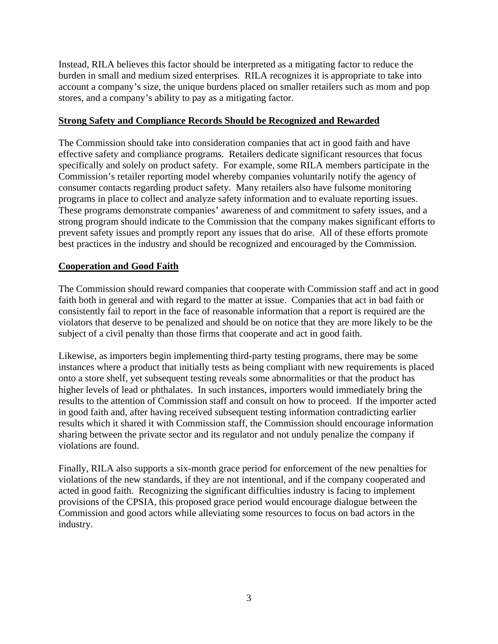Instead, RILA believes this factor should be interpreted as a mitigating factor to reduce the burden in small and medium sized enterprises. RILA recognizes it is appropriate to take into account a company's size, the unique burdens placed on smaller retailers such as mom and pop stores, and a company's ability to pay as a mitigating factor.

#### **Strong Safety and Compliance Records Should be Recognized and Rewarded**

The Commission should take into consideration companies that act in good faith and have effective safety and compliance programs. Retailers dedicate significant resources that focus specifically and solely on product safety. For example, some RILA members participate in the Commission's retailer reporting model whereby companies voluntarily notify the agency of consumer contacts regarding product safety. Many retailers also have fulsome monitoring programs in place to collect and analyze safety information and to evaluate reporting issues. These programs demonstrate companies' awareness of and commitment to safety issues, and a strong program should indicate to the Commission that the company makes significant efforts to prevent safety issues and promptly report any issues that do arise. All of these efforts promote best practices in the industry and should be recognized and encouraged by the Commission.

## **Cooperation and Good Faith**

The Commission should reward companies that cooperate with Commission staff and act in good faith both in general and with regard to the matter at issue. Companies that act in bad faith or consistently fail to report in the face of reasonable information that a report is required are the violators that deserve to be penalized and should be on notice that they are more likely to be the subject of a civil penalty than those firms that cooperate and act in good faith.

Likewise, as importers begin implementing third-party testing programs, there may be some instances where a product that initially tests as being compliant with new requirements is placed onto a store shelf, yet subsequent testing reveals some abnormalities or that the product has higher levels of lead or phthalates. In such instances, importers would immediately bring the results to the attention of Commission staff and consult on how to proceed. If the importer acted in good faith and, after having received subsequent testing information contradicting earlier results which it shared it with Commission staff, the Commission should encourage information sharing between the private sector and its regulator and not unduly penalize the company if violations are found.

Finally, RILA also supports a six-month grace period for enforcement of the new penalties for violations of the new standards, if they are not intentional, and if the company cooperated and acted in good faith. Recognizing the significant difficulties industry is facing to implement provisions of the CPSIA, this proposed grace period would encourage dialogue between the Commission and good actors while alleviating some resources to focus on bad actors in the industry.